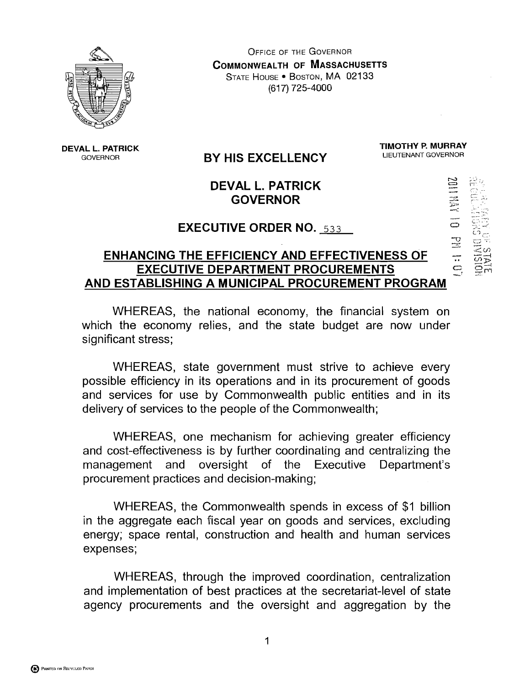

**OFFICE OF THE GOVERNOR COMMONWEALTH OF MASSACHUSETTS** STATE HOUSE . BOSTON, MA 02133 (617) 725-4000

#### **DEVAL L. PATRICK**  GOVERNOR

# **BY HIS EXCELLENCY**

**TIMOTHY P. MURRAY** 

4 **L.,.'**  += .. cnr-.' - **A\*,** 

**ZOLLAN** 

## **DEVAL L. PATRICK GOVERNOR**

### **EXECUTIVE ORDER NO.** <sup>533</sup>

#### **ENHANCING THE EFFICIENCY AND EFFECTIVENESS OF EXECUTIVE DEPARTMENT PROCUREMENTS AND ESTABLISHING A MUNICIPAL PROCUREMENT PROGRAM**

WHEREAS, the national economy, the financial system on which the economy relies, and the state budget are now under significant stress;

WHEREAS, state government must strive to achieve every possible efficiency in its operations and in its procurement of goods and services for use by Commonwealth public entities and in its delivery of services to the people of the Commonwealth;

WHEREAS, one mechanism for achieving greater efficiency and cost-effectiveness is by further coordinating and centralizing the management and oversight of the Executive Department's procurement practices and decision-making;

WHEREAS, the Commonwealth spends in excess of \$1 billion in the aggregate each fiscal year on goods and services, excluding energy; space rental, construction and health and human services expenses;

WHEREAS, through the improved coordination, centralization and implementation of best practices at the secretariat-level of state agency procurements and the oversight and aggregation by the

**B** PINNTED ON RECYCLED PAPER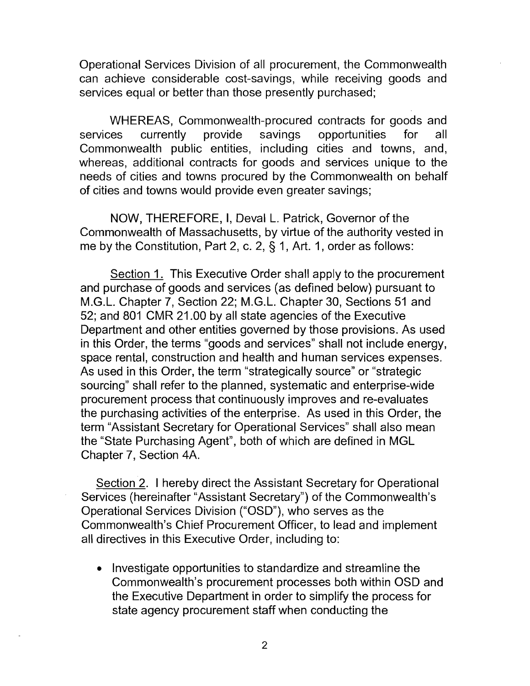Operational Services Division of all procurement, the Commonwealth can achieve considerable cost-savings, while receiving goods and services equal or better than those presently purchased;

WHEREAS, Commonwealth-procured contracts for goods and services currently provide savings opportunities for all Commonwealth public entities, including cities and towns, and, whereas, additional contracts for goods and services unique to the needs of cities and towns procured by the Commonwealth on behalf of cities and towns would provide even greater savings;

NOW, THEREFORE, I, Deval L. Patrick, Governor of the Commonwealth of Massachusetts, by virtue of the authority vested in me by the Constitution, Part 2, c. 2, § 1, Art. 1, order as follows:

Section 1. This Executive Order shall apply to the procurement and purchase of goods and services (as defined below) pursuant to M.G.L. Chapter 7, Section 22; M.G.L. Chapter 30, Sections 51 and 52; and 801 CMR 21 .OO by all state agencies of the Executive Department and other entities governed by those provisions. As used in this Order, the terms "goods and services" shall not include energy, space rental, construction and health and human services expenses. As used in this Order, the term "strategically source" or "strategic sourcing" shall refer to the planned, systematic and enterprise-wide procurement process that continuously improves and re-evaluates the purchasing activities of the enterprise. As used in this Order, the term "Assistant Secretary for Operational Services" shall also mean the "State Purchasing Agent", both of which are defined in MGL Chapter 7, Section 4A.

Section 2. 1 hereby direct the Assistant Secretary for Operational Services (hereinafter "Assistant Secretary") of the Commonwealth's Operational Services Division ("OSD"), who serves as the Commonwealth's Chief Procurement Officer, to lead and implement all directives in this Executive Order, including to:

• Investigate opportunities to standardize and streamline the Commonwealth's procurement processes both within OSD and the Executive Department in order to simplify the process for state agency procurement staff when conducting the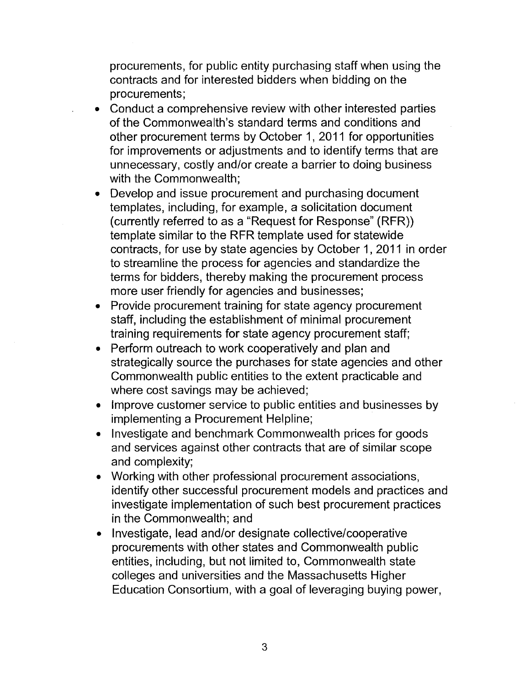procurements, for public entity purchasing staff when using the contracts and for interested bidders when bidding on the procurements;

- Conduct a comprehensive review with other interested parties  $\bullet$ of the Commonwealth's standard terms and conditions and other procurement terms by October 1, 2011 for opportunities for improvements or adjustments and to identify terms that are unnecessary, costly and/or create a barrier to doing business with the Commonwealth;
- Develop and issue procurement and purchasing document templates, including, for example, a solicitation document (currently referred to as a "Request for Response" (RFR)) template similar to the RFR template used for statewide contracts, for use by state agencies by October 1, 2011 in order to streamline the process for agencies and standardize the terms for bidders, thereby making the procurement process more user friendly for agencies and businesses;
- Provide procurement training for state agency procurement  $\bullet$ staff, including the establishment of minimal procurement training requirements for state agency procurement staff;
- Perform outreach to work cooperatively and plan and strategically source the purchases for state agencies and other Commonwealth public entities to the extent practicable and where cost savings may be achieved;
- Improve customer service to public entities and businesses by implementing a Procurement Helpline;
- Investigate and benchmark Commonwealth prices for goods  $\bullet$ and services against other contracts that are of similar scope and complexity;
- Working with other professional procurement associations, identify other successful procurement models and practices and investigate implementation of such best procurement practices in the Commonwealth; and
- Investigate, lead and/or designate collective/cooperative procurements with other states and Commonwealth public entities, including, but not limited to, Commonwealth state colleges and universities and the Massachusetts Higher Education Consortium, with a goal of leveraging buying power,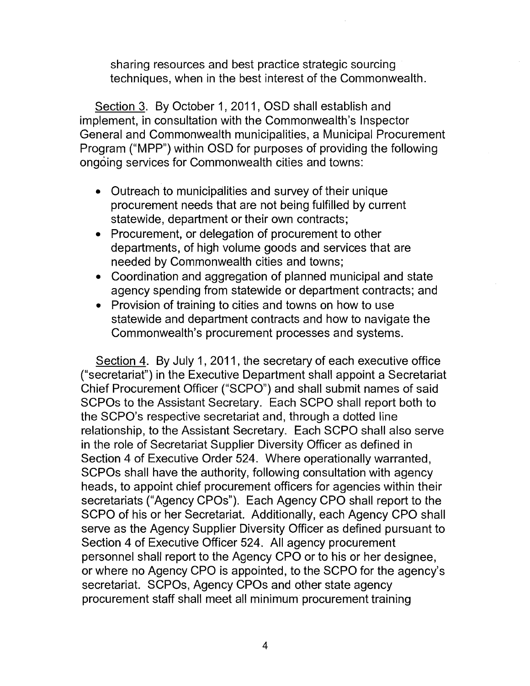sharing resources and best practice strategic sourcing techniques, when in the best interest of the Commonwealth.

Section 3. By October 1, 2011, OSD shall establish and implement, in consultation with the Commonwealth's Inspector General and Commonwealth municipalities, a Municipal Procurement Program ("MPP") within OSD for purposes of providing the following ongoing services for Commonwealth cities and towns:

- Outreach to municipdlities and survey of their unique procurement needs that are not being fulfilled by current statewide, department or their own contracts;
- Procurement, or delegation of procurement to other departments, of high volume goods and services that are needed by Commonwealth cities and towns;
- Coordination and aggregation of planned municipal and state agency spending from statewide or department contracts; and
- Provision of training to cities and towns on how to use statewide and department contracts and how to navigate the Commonwealth's procurement processes and systems.

Section 4. By July 1, 2011, the secretary of each executive office ("secretariat") in the Executive Department shall appoint a Secretariat Chief Procurement Officer ("SCPO") and shall submit names of said SCPOs to the Assistant Secretary. Each SCPO shall report both to the SCPO's respective secretariat and, through a dotted line relationship, to the Assistant Secretary. Each SCPO shall also serve in the role of Secretariat Supplier Diversity Officer as defined in Section 4 of Executive Order 524. Where operationally warranted, SCPOs shall have the authority, following consultation with agency heads, to appoint chief procurement officers for agencies within their secretariats ("Agency CPOs"). Each Agency CPO shall report to the SCPO of his or her Secretariat. Additionally, each Agency CPO shall serve as the Agency Supplier Diversity Officer as defined pursuant to Section 4 of Executive Officer 524. All agency procurement personnel shall report to the Agency CPO or to his or her designee, or where no Agency CPO is appointed, to the SCPO for the agency's secretariat. SCPOs, Agency CPOs and other state agency procurement staff shall meet all minimum procurement training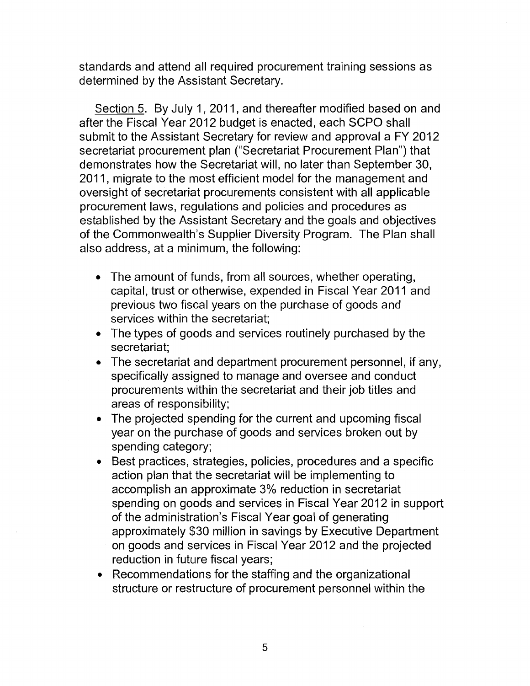standards and attend all required procurement training sessions as determined by the Assistant Secretary.

Section 5. By July 1, 2011, and thereafter modified based on and after the Fiscal Year 2012 budget is enacted, each SCPO shall submit to the Assistant Secretary for review and approval a FY 2012 secretariat procurement plan ("Secretariat Procurement Plan") that demonstrates how the Secretariat will, no later than September 30, 2011, migrate to the most efficient model for the management and oversight of secretariat procurements consistent with all applicable procurement laws, regulations and policies and procedures as established by the Assistant Secretary and the goals and objectives of the Commonwealth's Supplier Diversity Program. The Plan shall also address, at a minimum, the following:

- The amount of funds, from all sources, whether operating, capital, trust or otherwise, expended in Fiscal Year 2011 and previous two fiscal years on the purchase of goods and services within the secretariat;
- The types of goods and services routinely purchased by the secretariat;
- The secretariat and department procurement personnel, if any, specifically assigned to manage and oversee and conduct procurements within the secretariat and their job titles and areas of responsibility;
- The projected spending for the current and upcoming fiscal  $\bullet$ year on the purchase of goods and services broken out by spending category;
- Best practices, strategies, policies, procedures and a specific action plan that the secretariat will be implementing to accomplish an approximate 3% reduction in secretariat spending on goods and services in Fiscal Year 2012 in support of the administration's Fiscal Year goal of generating approximately \$30 million in savings by Executive Department on goods and services in Fiscal Year 2012 and the projected reduction in future fiscal years;
- Recommendations for the staffing and the organizational structure or restructure of procurement personnel within the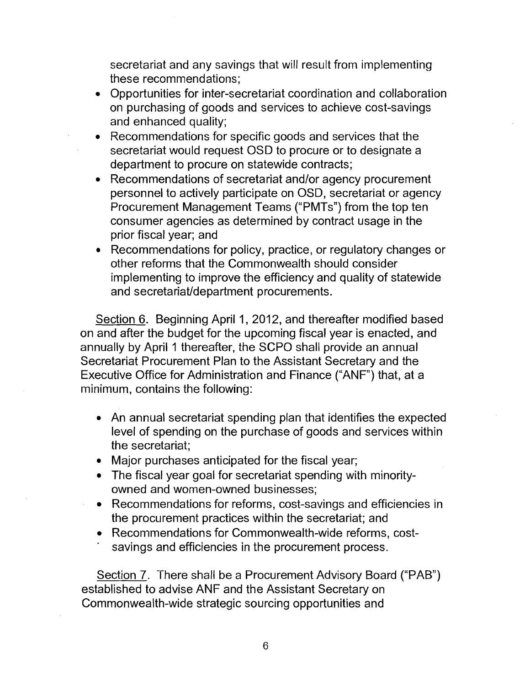secretariat and any savings that will result from implementing these recommendations;

- Opportunities for inter-secretariat coordination and collaboration  $\bullet$ on purchasing of goods and services to achieve cost-savings and enhanced quality;
- Recommendations for specific goods and services that the secretariat would request OSD to procure or to designate a department to procure on statewide contracts;
- Recommendations of secretariat and/or agency procurement personnel to actively participate on OSD, secretariat or agency Procurement Management Teams ("PMTs") from the top ten consumer agencies as determined by contract usage in the prior fiscal year; and
- Recommendations for policy, practice, or regulatory changes or other reforms that the Commonwealth should consider implementing to improve the efficiency and quality of statewide and secretariat/department procurements.

Section 6. Beginning April 1, 2012, and thereafter modified based on and after the budget for the upcoming fiscal year is enacted, and annually by April 1 thereafter, the SCPO shall provide an annual Secretariat Procurement Plan to the Assistant Secretary and the Executive Office for Administration and Finance ("ANF") that, at a minimum, contains the following:

- An annual secretariat spending plan that identifies the expected level of spending on the purchase of goods and services within the secretariat;
- Major purchases anticipated for the fiscal year;
- The fiscal year goal for secretariat spending with minorityowned and women-owned businesses;
- Recommendations for reforms, cost-savings and efficiencies in the procurement practices within the secretariat; and
- Recommendations for Commonwealth-wide reforms, costsavings and efficiencies in the procurement process.

Section 7. There shall be a Procurement Advisory Board ("PAB") established to advise ANF and the Assistant Secretary on Commonwealth-wide strategic sourcing opportunities and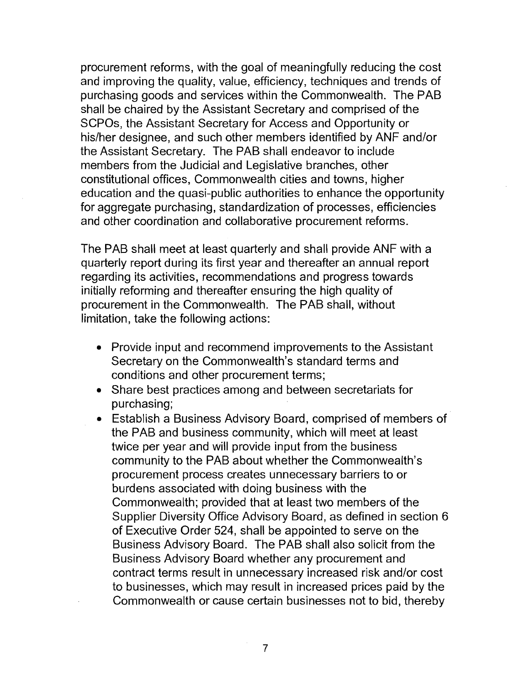procurement reforms, with the goal of meaningfully reducing the cost and improving the quality, value, efficiency, techniques and trends of purchasing goods and services within the Commonwealth. The PAB shall be chaired by the Assistant Secretary and comprised of the SCPOs, the Assistant Secretary for Access and Opportunity or his/her designee, and such other members identified by ANF and/or the Assistant Secretary. The PAB shall endeavor to include members from the Judicial and Legislative branches, other constitutional offices, Commonwealth cities and towns, higher education and the quasi-public authorities to enhance the opportunity for aggregate purchasing, standardization of processes, efficiencies and other coordination and collaborative procurement reforms.

The PAB shall meet at least quarterly and shall provide ANF with a quarterly report during its first year and thereafter an annual report regarding its activities, recommendations and progress towards initially reforming and thereafter ensuring the high quality of procurement in the Commonwealth. The PAB shall, without limitation, take the following actions:

- Provide input and recommend improvements to the Assistant Secretary on the Commonwealth's standard terms and conditions and other procurement terms;
- Share best practices among and between secretariats for purchasing;
- Establish a Business Advisory Board, comprised of members of the PAB and business community, which will meet at least twice per year and will provide input from the business community to the PAB about whether the Commonwealth's procurement process creates unnecessary barriers to or burdens associated with doing business with the Commonwealth; provided that at least two members of the Supplier Diversity Office Advisory Board, as defined in section 6 of Executive Order 524, shall be appointed to serve on the Business Advisory Board. The PAB shall also solicit from the Business Advisory Board whether any procurement and contract terms result in unnecessary increased risk andlor cost to businesses, which may result in increased prices paid by the Commonwealth or cause certain businesses not to bid, thereby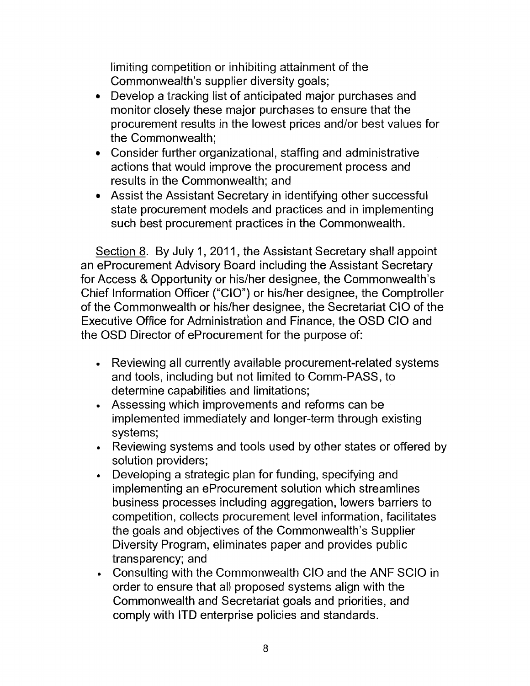limiting competition or inhibiting attainment of the Commonwealth's supplier diversity goals;

- Develop a tracking list of anticipated major purchases and monitor closely these major purchases to ensure that the procurement results in the lowest prices and/or best values for the Commonwealth:
- Consider further organizational, staffing and administrative actions that would improve the procurement process and results in the Commonwealth; and
- Assist the Assistant Secretary in identifying other successful  $\bullet$ state procurement models and practices and in implementing such best procurement practices in the Commonwealth.

Section 8. By July 1, 2011, the Assistant Secretary shall appoint an eProcurement Advisory Board including the Assistant Secretary for Access & Opportunity or his/her designee, the Commonwealth's Chief Information Officer ("CIO") or his/her designee, the Comptroller of the Commonwealth or his/her designee, the Secretariat CIO of the Executive Office for Administration and Finance, the OSD CIO and the OSD Director of eProcurement for the purpose of:

- Reviewing all currently available procurement-related systems and tools, including but not limited to Comm-PASS, to determine capabilities and limitations;
- Assessing which improvements and reforms can be implemented immediately and longer-term through existing systems;
- Reviewing systems and tools used by other states or offered by solution providers;
- Developing a strategic plan for funding, specifying and implementing an eProcurement solution which streamlines business processes including aggregation, lowers barriers to competition, collects procurement level information, facilitates the goals and objectives of the Commonwealth's Supplier Diversity Program, eliminates paper and provides public transparency; and
- Consulting with the Commonwealth CIO and the ANF SClO in order to ensure that all proposed systems align with the Commonwealth and Secretariat goals and priorities, and comply with ITD enterprise policies and standards.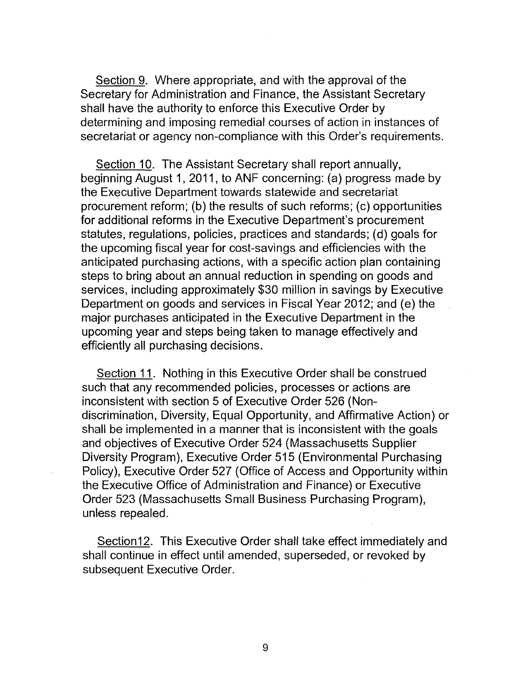Section 9. Where appropriate, and with the approval of the Secretary for Administration and Finance, the Assistant Secretary shall have the authority to enforce this Executive Order by determining and imposing remedial courses of action in instances of secretariat or agency non-compliance with this Order's requirements.

Section 10. The Assistant Secretary shall report annually, beginning August 1, 2011, to ANF concerning: (a) progress made by the Executive Department towards statewide and secretariat procurement reform; (b) the results of such reforms; (c) opportunities for additional reforms in the Executive Department's procurement statutes, regulations, policies, practices and standards; (d) goals for the upcoming fiscal year for cost-savings and efficiencies with the anticipated purchasing actions, with a specific action plan containing steps to bring about an annual reduction in spending on goods and services, including approximately \$30 million in savings by Executive Department on goods and services in Fiscal Year 2012; and (e) the major purchases anticipated in the Executive Department in the upcoming year and steps being taken to manage effectively and efficiently all purchasing decisions.

Section 11. Nothing in this Executive Order shall be construed such that any recommended policies, processes or actions are inconsistent with section 5 of Executive Order 526 (Nondiscrimination, Diversity, Equal Opportunity, and Affirmative Action) or shall be implemented in a manner that is inconsistent with the goals and objectives of Executive Order 524 (Massachusetts Supplier Diversity Program), Executive Order 515 (Environmental Purchasing Policy), Executive Order 527 (Office of Access and Opportunity within the Executive Office of Administration and Finance) or Executive Order 523 (Massachusetts Small Business Purchasing Program), unless repealed.

Section 12. This Executive Order shall take effect immediately and shall continue in effect until amended, superseded, or revoked by subsequent Executive Order.